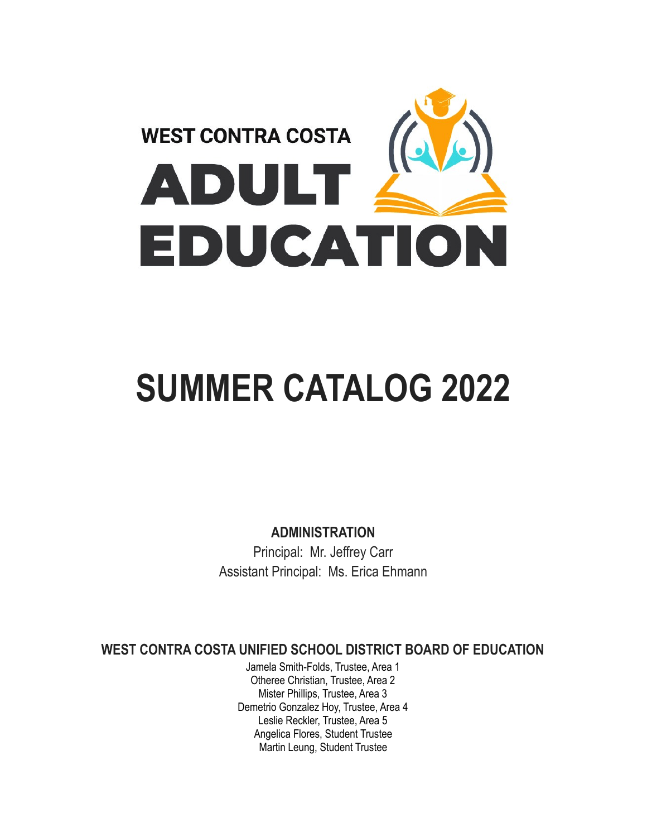

# **SUMMER CATALOG 2022**

**ADMINISTRATION**

Principal: Mr. Jeffrey Carr Assistant Principal: Ms. Erica Ehmann

**WEST CONTRA COSTA UNIFIED SCHOOL DISTRICT BOARD OF EDUCATION**

Jamela Smith-Folds, Trustee, Area 1 Otheree Christian, Trustee, Area 2 Mister Phillips, Trustee, Area 3 Demetrio Gonzalez Hoy, Trustee, Area 4 Leslie Reckler, Trustee, Area 5 Angelica Flores, Student Trustee Martin Leung, Student Trustee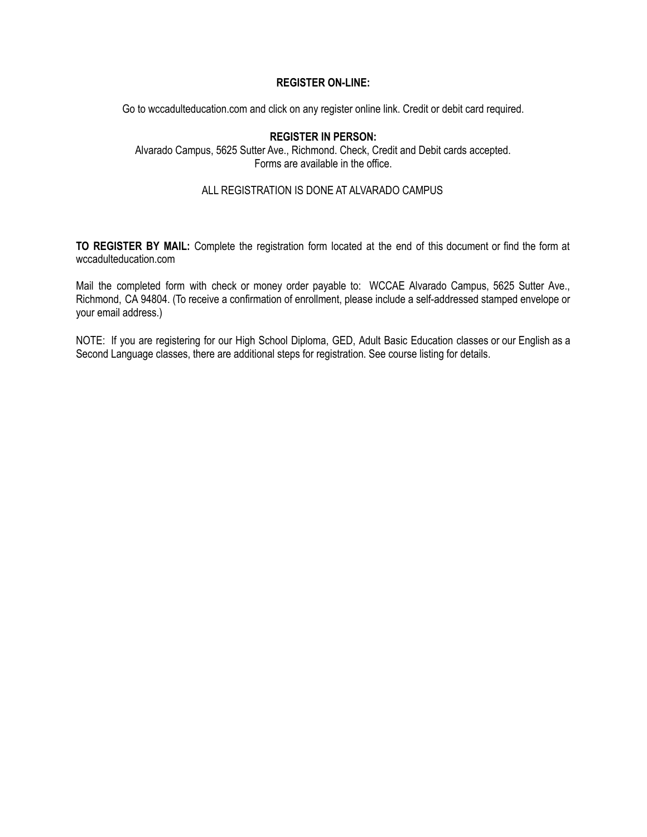#### **REGISTER ON-LINE:**

Go to wccadulteducation.com and click on any register online link. Credit or debit card required.

#### **REGISTER IN PERSON:**

Alvarado Campus, 5625 Sutter Ave., Richmond. Check, Credit and Debit cards accepted. Forms are available in the office.

#### ALL REGISTRATION IS DONE AT ALVARADO CAMPUS

**TO REGISTER BY MAIL:** Complete the registration form located at the end of this document or find the form at wccadulteducation.com

Mail the completed form with check or money order payable to: WCCAE Alvarado Campus, 5625 Sutter Ave., Richmond, CA 94804. (To receive a confirmation of enrollment, please include a self-addressed stamped envelope or your email address.)

NOTE: If you are registering for our High School Diploma, GED, Adult Basic Education classes or our English as a Second Language classes, there are additional steps for registration. See course listing for details.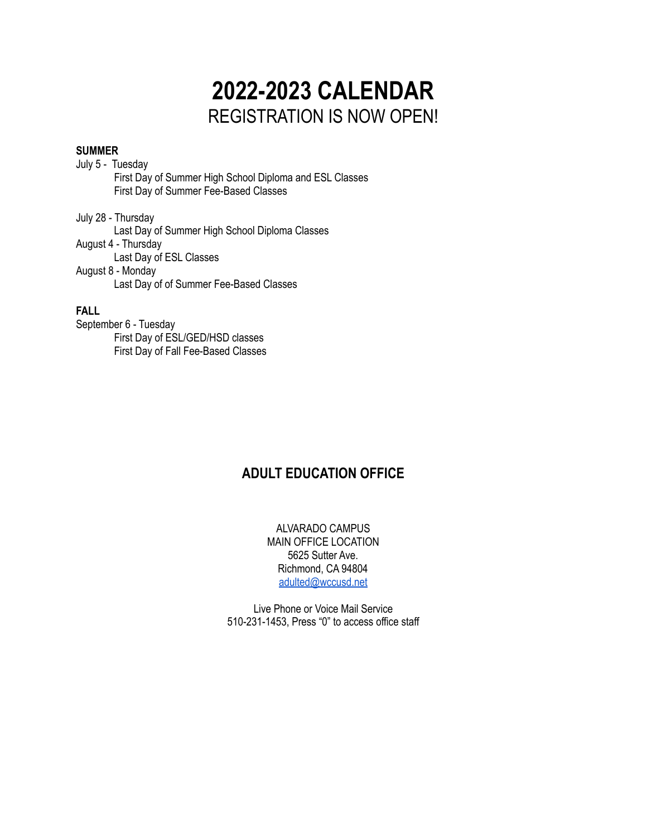## **2022-2023 CALENDAR** REGISTRATION IS NOW OPEN!

#### **SUMMER**

July 5 - Tuesday First Day of Summer High School Diploma and ESL Classes First Day of Summer Fee-Based Classes

July 28 - Thursday Last Day of Summer High School Diploma Classes August 4 - Thursday Last Day of ESL Classes August 8 - Monday Last Day of of Summer Fee-Based Classes

#### **FALL**

September 6 - Tuesday First Day of ESL/GED/HSD classes First Day of Fall Fee-Based Classes

#### **ADULT EDUCATION OFFICE**

ALVARADO CAMPUS MAIN OFFICE LOCATION 5625 Sutter Ave. Richmond, CA 94804 [adulted@wccusd.net](mailto:adulted@wccusd.net)

Live Phone or Voice Mail Service 510-231-1453, Press "0" to access office staff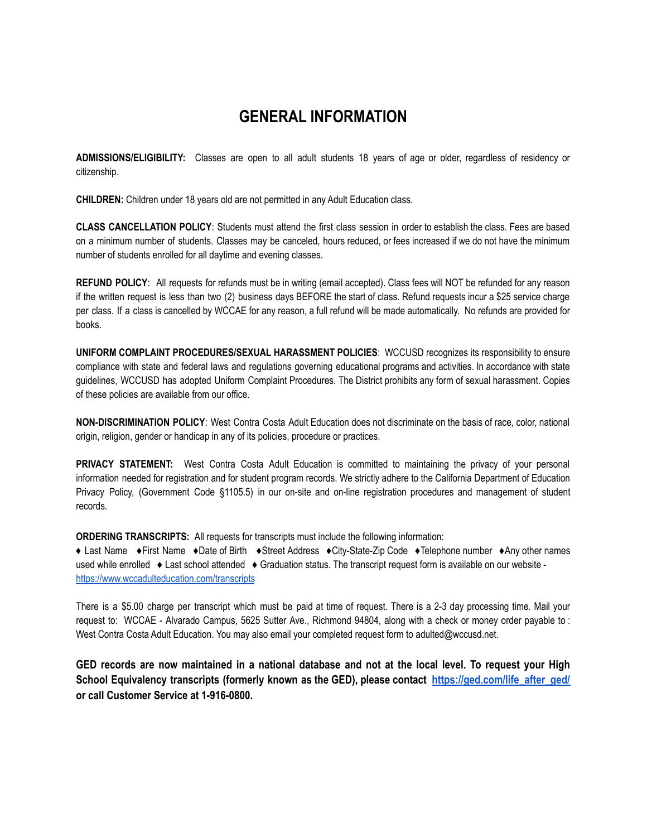### **GENERAL INFORMATION**

**ADMISSIONS/ELIGIBILITY:** Classes are open to all adult students 18 years of age or older, regardless of residency or citizenship.

**CHILDREN:** Children under 18 years old are not permitted in any Adult Education class.

**CLASS CANCELLATION POLICY**: Students must attend the first class session in order to establish the class. Fees are based on a minimum number of students. Classes may be canceled, hours reduced, or fees increased if we do not have the minimum number of students enrolled for all daytime and evening classes.

**REFUND POLICY**: All requests for refunds must be in writing (email accepted). Class fees will NOT be refunded for any reason if the written request is less than two (2) business days BEFORE the start of class. Refund requests incur a \$25 service charge per class. If a class is cancelled by WCCAE for any reason, a full refund will be made automatically. No refunds are provided for books.

**UNIFORM COMPLAINT PROCEDURES/SEXUAL HARASSMENT POLICIES**: WCCUSD recognizes its responsibility to ensure compliance with state and federal laws and regulations governing educational programs and activities. In accordance with state guidelines, WCCUSD has adopted Uniform Complaint Procedures. The District prohibits any form of sexual harassment. Copies of these policies are available from our office.

**NON-DISCRIMINATION POLICY**: West Contra Costa Adult Education does not discriminate on the basis of race, color, national origin, religion, gender or handicap in any of its policies, procedure or practices.

**PRIVACY STATEMENT:** West Contra Costa Adult Education is committed to maintaining the privacy of your personal information needed for registration and for student program records. We strictly adhere to the California Department of Education Privacy Policy, (Government Code §1105.5) in our on-site and on-line registration procedures and management of student records.

**ORDERING TRANSCRIPTS:** All requests for transcripts must include the following information:

♦ Last Name ♦First Name ♦Date of Birth ♦Street Address ♦City-State-Zip Code ♦Telephone number ♦Any other names used while enrolled ♦ Last school attended ♦ Graduation status. The transcript request form is available on our website <https://www.wccadulteducation.com/transcripts>

There is a \$5.00 charge per transcript which must be paid at time of request. There is a 2-3 day processing time. Mail your request to: WCCAE - Alvarado Campus, 5625 Sutter Ave., Richmond 94804, along with a check or money order payable to : West Contra Costa Adult Education. You may also email your completed request form to adulted@wccusd.net.

GED records are now maintained in a national database and not at the local level. To request your High **School Equivalency transcripts (formerly known as the GED), please contact [https://ged.com/life\\_after\\_ged/](https://ged.com/life_after_ged/) or call Customer Service at 1-916-0800.**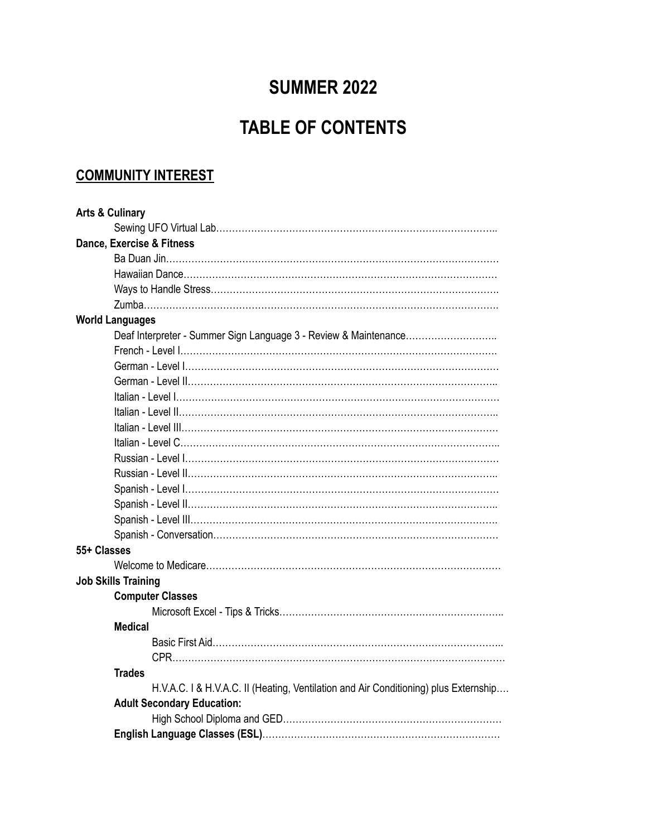### **SUMMER 2022**

## **TABLE OF CONTENTS**

### **COMMUNITY INTEREST**

| <b>Arts &amp; Culinary</b>                                                           |
|--------------------------------------------------------------------------------------|
|                                                                                      |
| Dance, Exercise & Fitness                                                            |
|                                                                                      |
|                                                                                      |
|                                                                                      |
|                                                                                      |
| <b>World Languages</b>                                                               |
| Deaf Interpreter - Summer Sign Language 3 - Review & Maintenance                     |
|                                                                                      |
|                                                                                      |
|                                                                                      |
|                                                                                      |
|                                                                                      |
|                                                                                      |
|                                                                                      |
|                                                                                      |
|                                                                                      |
|                                                                                      |
|                                                                                      |
|                                                                                      |
|                                                                                      |
| 55+ Classes                                                                          |
|                                                                                      |
| <b>Job Skills Training</b>                                                           |
| <b>Computer Classes</b>                                                              |
|                                                                                      |
| <b>Medical</b>                                                                       |
|                                                                                      |
|                                                                                      |
| <b>Trades</b>                                                                        |
| H.V.A.C. I & H.V.A.C. II (Heating, Ventilation and Air Conditioning) plus Externship |
| <b>Adult Secondary Education:</b>                                                    |
|                                                                                      |
|                                                                                      |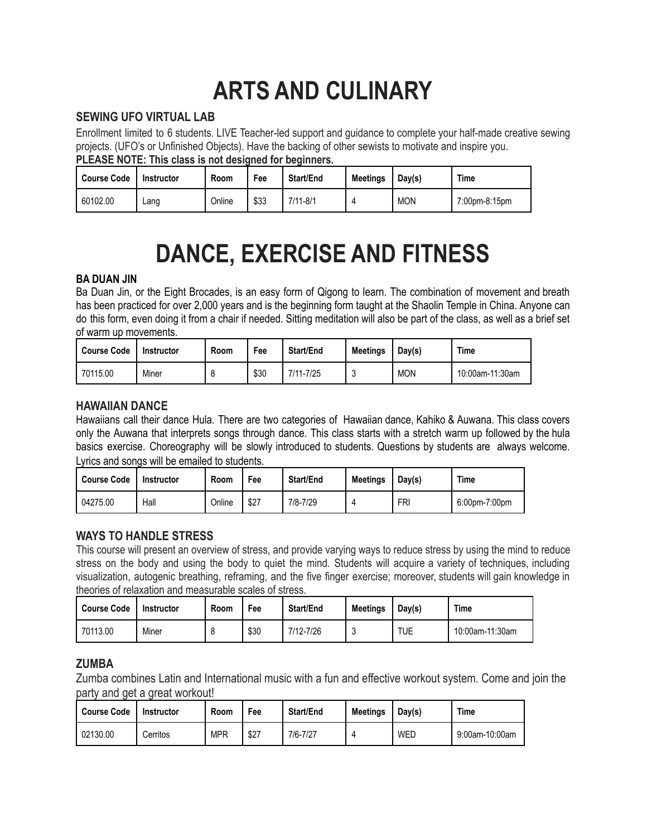## **ARTS AND CULINARY**

#### **SEWING UFO VIRTUAL LAB**

Enrollment limited to 6 students. LIVE Teacher-led support and guidance to complete your half-made creative sewing projects. (UFO's or Unfinished Objects). Have the backing of other sewists to motivate and inspire you. **PLEASE NOTE: This class is not designed for beginners.**

| <b>Course Code</b> | ושועוווור ששמו עם ושירות וששמע בשור שו ששמוש שוווו ש<br>Instructor | Room   | Fee  | Start/End    | <b>Meetings</b> | Day(s)     | Time          |
|--------------------|--------------------------------------------------------------------|--------|------|--------------|-----------------|------------|---------------|
| 60102.00           | ∟ang                                                               | Online | \$33 | $7/11 - 8/1$ |                 | <b>MON</b> | 7:00pm-8:15pm |

## **DANCE, EXERCISE AND FITNESS**

#### **BA DUAN JIN**

Ba Duan Jin, or the Eight Brocades, is an easy form of Qigong to learn. The combination of movement and breath has been practiced for over 2,000 years and is the beginning form taught at the Shaolin Temple in China. Anyone can do this form, even doing it from a chair if needed. Sitting meditation will also be part of the class, as well as a brief set of warm up movements.

| <b>Course Code</b> | <b>Instructor</b> | <b>Room</b> | Fee  | Start/End | <b>Meetings</b> | Day(s)     | Time            |
|--------------------|-------------------|-------------|------|-----------|-----------------|------------|-----------------|
| 70115.00           | Miner             | Я<br>- C    | \$30 | 7/11-7/25 |                 | <b>MON</b> | 10:00am-11:30am |

#### **HAWAIIAN DANCE**

Hawaiians call their dance Hula. There are two categories of Hawaiian dance, Kahiko & Auwana. This class covers only the Auwana that interprets songs through dance. This class starts with a stretch warm up followed by the hula basics exercise. Choreography will be slowly introduced to students. Questions by students are always welcome. Lyrics and songs will be emailed to students.

| Course Code | <b>Instructor</b> | Room   | Fee  | <b>Start/End</b> | <b>Meetings</b> | Day(s)     | Time          |
|-------------|-------------------|--------|------|------------------|-----------------|------------|---------------|
| 04275.00    | Hall              | Online | \$27 | 7/8-7/29         |                 | <b>FRI</b> | 6:00pm-7:00pm |

#### **WAYS TO HANDLE STRESS**

This course will present an overview of stress, and provide varying ways to reduce stress by using the mind to reduce stress on the body and using the body to quiet the mind. Students will acquire a variety of techniques, including visualization, autogenic breathing, reframing, and the five finger exercise; moreover, students will gain knowledge in theories of relaxation and measurable scales of stress.

| <b>Course Code</b> | Instructor | Room               | Fee  | <b>Start/End</b> | <b>Meetings</b> | Day(s) | Time            |
|--------------------|------------|--------------------|------|------------------|-----------------|--------|-----------------|
| 70113.00           | Miner      | $\circ$<br>$\circ$ | \$30 | 7/12-7/26        |                 | TUE    | 10:00am-11:30am |

#### **ZUMBA**

Zumba combines Latin and International music with a fun and effective workout system. Come and join the party and get a great workout!

| <b>Course Code</b> | Instructor | Room       | Fee  | Start/End | <b>Meetings</b> | Day(s) | Time           |
|--------------------|------------|------------|------|-----------|-----------------|--------|----------------|
| 02130.00           | Cerritos   | <b>MPR</b> | \$27 | 7/6-7/27  |                 | WED    | 9:00am-10:00am |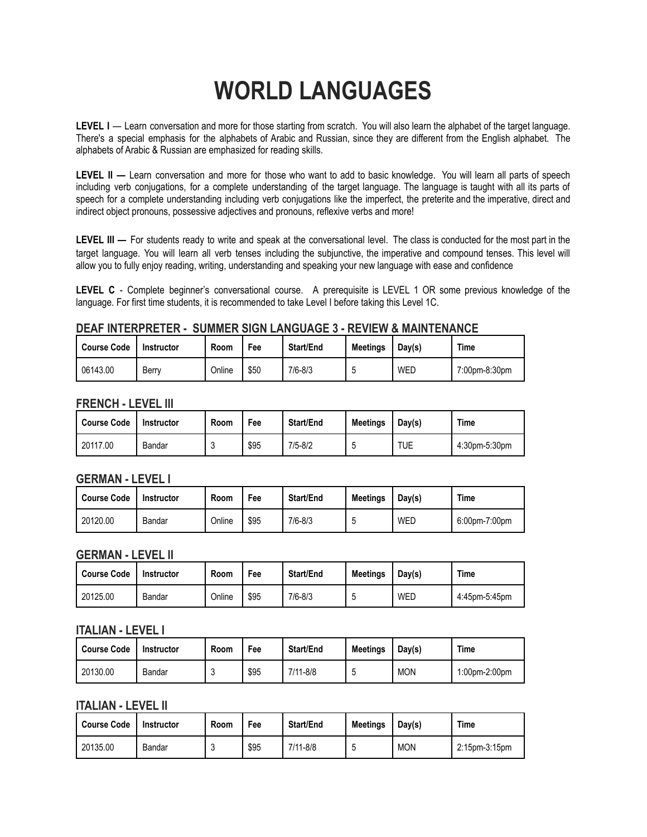## **WORLD LANGUAGES**

**LEVEL I** — Learn conversation and more for those starting from scratch. You will also learn the alphabet of the target language. There's a special emphasis for the alphabets of Arabic and Russian, since they are different from the English alphabet. The alphabets of Arabic & Russian are emphasized for reading skills.

**LEVEL II —** Learn conversation and more for those who want to add to basic knowledge. You will learn all parts of speech including verb conjugations, for a complete understanding of the target language. The language is taught with all its parts of speech for a complete understanding including verb conjugations like the imperfect, the preterite and the imperative, direct and indirect object pronouns, possessive adjectives and pronouns, reflexive verbs and more!

**LEVEL III —** For students ready to write and speak at the conversational level. The class is conducted for the most part in the target language. You will learn all verb tenses including the subjunctive, the imperative and compound tenses. This level will allow you to fully enjoy reading, writing, understanding and speaking your new language with ease and confidence

**LEVEL C** - Complete beginner's conversational course. A prerequisite is LEVEL 1 OR some previous knowledge of the language. For first time students, it is recommended to take Level I before taking this Level 1C.

#### **DEAF INTERPRETER - SUMMER SIGN LANGUAGE 3 - REVIEW & MAINTENANCE**

| <b>Course Code</b> | Instructor | Room   | Fee  | Start/End   | <b>Meetings</b> | Day(s) | Time          |
|--------------------|------------|--------|------|-------------|-----------------|--------|---------------|
| 06143.00           | Berry      | Online | \$50 | $7/6 - 8/3$ | v               | WED    | 7:00pm-8:30pm |

#### **FRENCH - LEVEL III**

| <b>Course Code</b> | <b>Instructor</b> | Room | Fee  | Start/End   | <b>Meetings</b> | Day(s)     | Time          |
|--------------------|-------------------|------|------|-------------|-----------------|------------|---------------|
| 20117.00           | Bandar            |      | \$95 | $7/5 - 8/2$ | ັ               | <b>TUE</b> | 4:30pm-5:30pm |

#### **GERMAN - LEVEL I**

| <b>Course Code</b> | Instructor | Room   | Fee  | <b>Start/End</b> | <b>Meetings</b> | Day(s) | Time          |
|--------------------|------------|--------|------|------------------|-----------------|--------|---------------|
| 20120.00           | Bandar     | Online | \$95 | $7/6 - 8/3$      | ັ               | WEL    | 6:00pm-7:00pm |

#### **GERMAN - LEVEL II**

| Course Code | Instructor | Room   | Fee  | <b>Start/End</b> | <b>Meetings</b> | Day(s) | <b>Time</b>   |
|-------------|------------|--------|------|------------------|-----------------|--------|---------------|
| 20125.00    | Bandar     | Online | \$95 | $7/6 - 8/3$      | w               | WED    | 4:45pm-5:45pm |

#### **ITALIAN - LEVEL I**

| 'Course Code | Instructor | Room | Fee  | Start/End | <b>Meetings</b> | Day(s)     | <b>Time</b>   |
|--------------|------------|------|------|-----------|-----------------|------------|---------------|
| 20130.00     | Bandar     |      | \$95 | 7/11-8/8  | ч               | <b>MON</b> | 1:00pm-2:00pm |

#### **ITALIAN - LEVEL II**

| Course Code | <b>Instructor</b> | Room | Fee  | <b>Start/End</b> | <b>Meetings</b> | Day(s)     | Time          |
|-------------|-------------------|------|------|------------------|-----------------|------------|---------------|
| 20135.00    | Bandar            | u    | \$95 | $7/11 - 8/8$     |                 | <b>MON</b> | 2:15pm-3:15pm |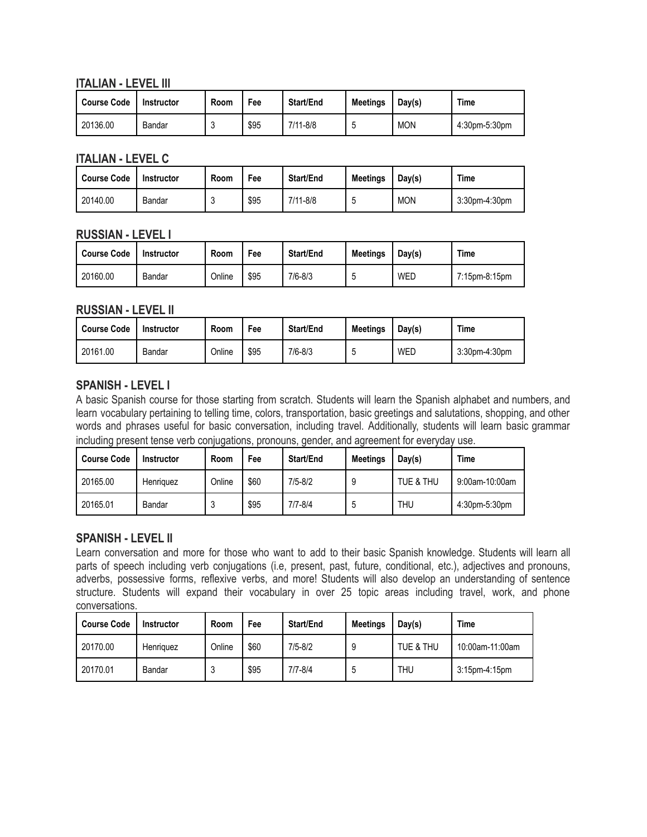#### **ITALIAN - LEVEL III**

| <b>Course Code</b> | Instructor | Room | Fee  | Start/End | <b>Meetings</b> | Day(s)     | Time          |
|--------------------|------------|------|------|-----------|-----------------|------------|---------------|
| 20136.00           | Bandar     |      | \$95 | 7/11-8/8  | v.              | <b>MON</b> | 4:30pm-5:30pm |

#### **ITALIAN - LEVEL C**

| <b>Course Code</b> | Instructor | Room | Fee  | <b>Start/End</b> | <b>Meetings</b> | Day(s)     | Time          |
|--------------------|------------|------|------|------------------|-----------------|------------|---------------|
| 20140.00           | Bandar     |      | \$95 | $7/11 - 8/8$     | v               | <b>MON</b> | 3:30pm-4:30pm |

#### **RUSSIAN - LEVEL I**

| Course Code | Instructor | Room   | Fee  | Start/End   | <b>Meetings</b> | Day(s) | <b>Time</b>   |
|-------------|------------|--------|------|-------------|-----------------|--------|---------------|
| 20160.00    | Bandar     | Online | \$95 | $7/6 - 8/3$ | v               | WED    | 7:15pm-8:15pm |

#### **RUSSIAN - LEVEL II**

| <b>Course Code</b> | Instructor | Room   | Fee  | <b>Start/End</b> | <b>Meetings</b> | Day(s) | Time                 |
|--------------------|------------|--------|------|------------------|-----------------|--------|----------------------|
| 20161.00           | Bandar     | Online | \$95 | $7/6 - 8/3$      | ັ               | WED    | $3:30$ pm-4: $30$ pm |

#### **SPANISH - LEVEL I**

A basic Spanish course for those starting from scratch. Students will learn the Spanish alphabet and numbers, and learn vocabulary pertaining to telling time, colors, transportation, basic greetings and salutations, shopping, and other words and phrases useful for basic conversation, including travel. Additionally, students will learn basic grammar including present tense verb conjugations, pronouns, gender, and agreement for everyday use.

| <b>Course Code</b> | <b>Instructor</b> | Room   | Fee  | Start/End | <b>Meetings</b> | Day(s)     | <b>Time</b>    |
|--------------------|-------------------|--------|------|-----------|-----------------|------------|----------------|
| 20165.00           | Henriquez         | Online | \$60 | 7/5-8/2   | 9               | TUE & THU  | 9:00am-10:00am |
| 20165.01           | Bandar            |        | \$95 | 7/7-8/4   | Ć               | <b>THU</b> | 4:30pm-5:30pm  |

#### **SPANISH - LEVEL II**

Learn conversation and more for those who want to add to their basic Spanish knowledge. Students will learn all parts of speech including verb conjugations (i.e, present, past, future, conditional, etc.), adjectives and pronouns, adverbs, possessive forms, reflexive verbs, and more! Students will also develop an understanding of sentence structure. Students will expand their vocabulary in over 25 topic areas including travel, work, and phone conversations.

| Course Code | <b>Instructor</b> | Room   | Fee  | Start/End   | <b>Meetings</b> | Dav(s)    | Time            |
|-------------|-------------------|--------|------|-------------|-----------------|-----------|-----------------|
| 20170.00    | Henriquez         | Online | \$60 | $7/5 - 8/2$ |                 | TUE & THU | 10:00am-11:00am |
| 20170.01    | Bandar            | 3      | \$95 | $7/7 - 8/4$ |                 | THU       | 3:15pm-4:15pm   |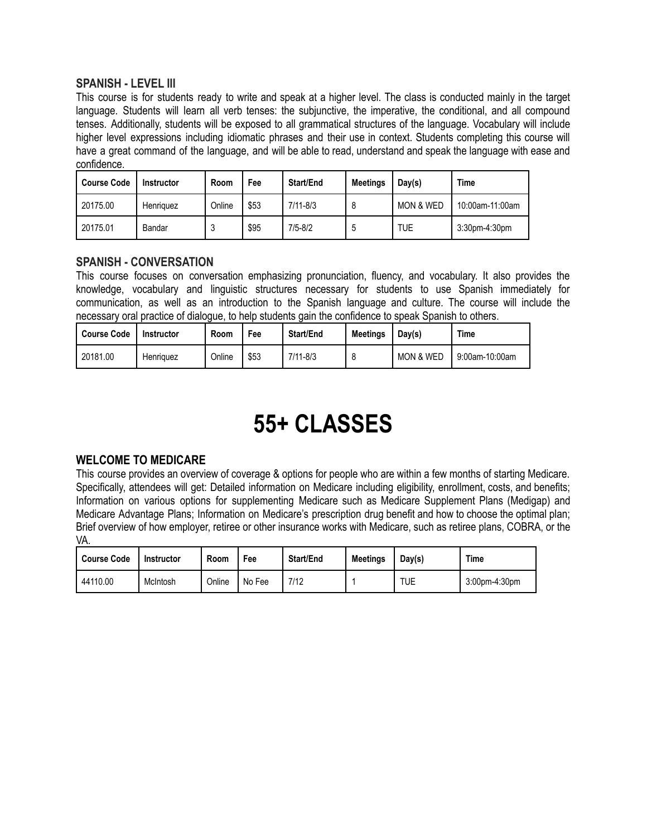#### **SPANISH - LEVEL III**

This course is for students ready to write and speak at a higher level. The class is conducted mainly in the target language. Students will learn all verb tenses: the subjunctive, the imperative, the conditional, and all compound tenses. Additionally, students will be exposed to all grammatical structures of the language. Vocabulary will include higher level expressions including idiomatic phrases and their use in context. Students completing this course will have a great command of the language, and will be able to read, understand and speak the language with ease and confidence.

| <b>Course Code</b> | <b>Instructor</b> | Room   | Fee  | Start/End    | <b>Meetings</b> | Day(s)               | Time             |
|--------------------|-------------------|--------|------|--------------|-----------------|----------------------|------------------|
| 20175.00           | Henriquez         | Online | \$53 | $7/11 - 8/3$ |                 | <b>MON &amp; WED</b> | 10:00am-11:00am  |
| 20175.01           | Bandar            | ີ      | \$95 | 7/5-8/2      | Ć               | TUE                  | $3:30$ pm-4:30pm |

#### **SPANISH - CONVERSATION**

This course focuses on conversation emphasizing pronunciation, fluency, and vocabulary. It also provides the knowledge, vocabulary and linguistic structures necessary for students to use Spanish immediately for communication, as well as an introduction to the Spanish language and culture. The course will include the necessary oral practice of dialogue, to help students gain the confidence to speak Spanish to others.

| <b>Course Code</b> | Instructor | Room   | Fee  | Start/End    | <b>Meetings</b> | Day(s)               | Time           |
|--------------------|------------|--------|------|--------------|-----------------|----------------------|----------------|
| 20181.00           | Henriquez  | Online | \$53 | $7/11 - 8/3$ |                 | <b>MON &amp; WED</b> | 9:00am-10:00am |

## **55+ CLASSES**

#### **WELCOME TO MEDICARE**

This course provides an overview of coverage & options for people who are within a few months of starting Medicare. Specifically, attendees will get: Detailed information on Medicare including eligibility, enrollment, costs, and benefits; Information on various options for supplementing Medicare such as Medicare Supplement Plans (Medigap) and Medicare Advantage Plans; Information on Medicare's prescription drug benefit and how to choose the optimal plan; Brief overview of how employer, retiree or other insurance works with Medicare, such as retiree plans, COBRA, or the VA.

| <b>Course Code</b> | <b>Instructor</b> | Room   | Fee    | Start/End | <b>Meetings</b> | Day(s) | Time          |
|--------------------|-------------------|--------|--------|-----------|-----------------|--------|---------------|
| 44110.00           | McIntosh          | Online | No Fee | 7/12      |                 | TUE    | 3:00pm-4:30pm |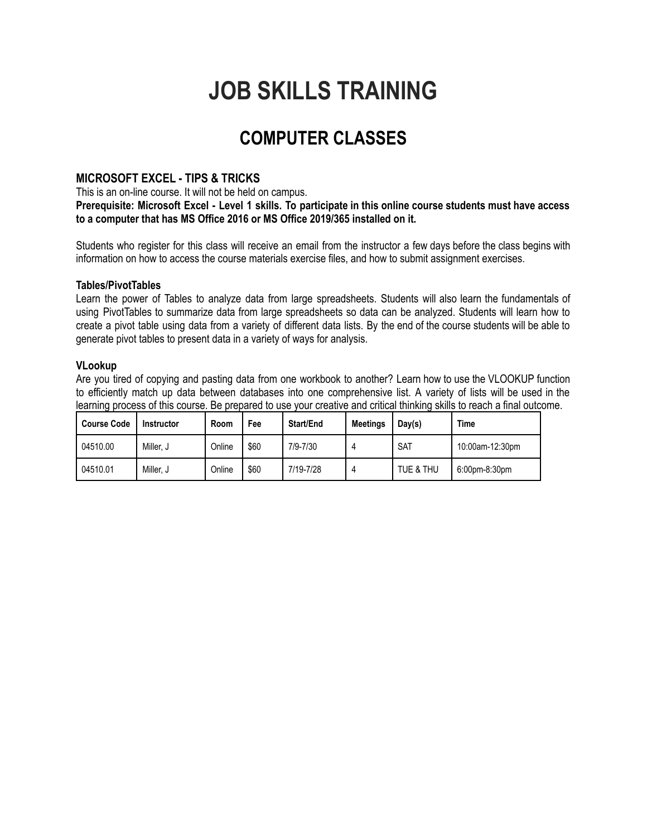## **JOB SKILLS TRAINING**

### **COMPUTER CLASSES**

#### **MICROSOFT EXCEL - TIPS & TRICKS**

This is an on-line course. It will not be held on campus.

Prerequisite: Microsoft Excel - Level 1 skills. To participate in this online course students must have access **to a computer that has MS Office 2016 or MS Office 2019/365 installed on it.**

Students who register for this class will receive an email from the instructor a few days before the class begins with information on how to access the course materials exercise files, and how to submit assignment exercises.

#### **Tables/PivotTables**

Learn the power of Tables to analyze data from large spreadsheets. Students will also learn the fundamentals of using PivotTables to summarize data from large spreadsheets so data can be analyzed. Students will learn how to create a pivot table using data from a variety of different data lists. By the end of the course students will be able to generate pivot tables to present data in a variety of ways for analysis.

#### **VLookup**

Are you tired of copying and pasting data from one workbook to another? Learn how to use the VLOOKUP function to efficiently match up data between databases into one comprehensive list. A variety of lists will be used in the learning process of this course. Be prepared to use your creative and critical thinking skills to reach a final outcome.

| <b>Course Code</b> | <b>Instructor</b> | Room   | Fee  | <b>Start/End</b> | <b>Meetings</b> | Day(s)     | <b>Time</b>     |
|--------------------|-------------------|--------|------|------------------|-----------------|------------|-----------------|
| 04510.00           | Miller. J         | Online | \$60 | 7/9-7/30         |                 | <b>SAT</b> | 10:00am-12:30pm |
| 04510.01           | Miller. J         | Online | \$60 | 7/19-7/28        | 4               | TUE & THU  | 6:00pm-8:30pm   |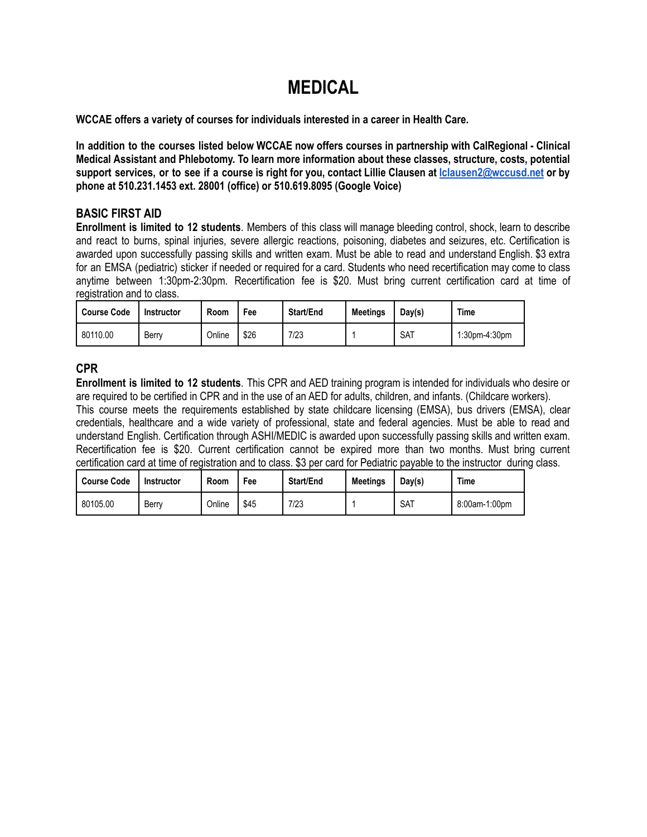### **MEDICAL**

**WCCAE offers a variety of courses for individuals interested in a career in Health Care.**

In addition to the courses listed below WCCAE now offers courses in partnership with CalRegional - Clinical **Medical Assistant and Phlebotomy. To learn more information about these classes, structure, costs, potential** support services, or to see if a course is right for you, contact Lillie Clausen at Iclausen2@wccusd.net or by **phone at 510.231.1453 ext. 28001 (office) or 510.619.8095 (Google Voice)**

#### **BASIC FIRST AID**

**Enrollment is limited to 12 students**. Members of this class will manage bleeding control, shock, learn to describe and react to burns, spinal injuries, severe allergic reactions, poisoning, diabetes and seizures, etc. Certification is awarded upon successfully passing skills and written exam. Must be able to read and understand English. \$3 extra for an EMSA (pediatric) sticker if needed or required for a card. Students who need recertification may come to class anytime between 1:30pm-2:30pm. Recertification fee is \$20. Must bring current certification card at time of registration and to class.

| Course Code | <b>Instructor</b> | Room   | Fee  | <b>Start/End</b> | <b>Meetings</b> | Day(s)     | <b>Time</b>   |
|-------------|-------------------|--------|------|------------------|-----------------|------------|---------------|
| 80110.00    | Berry             | Online | \$26 | 7/23             |                 | <b>SAT</b> | 1:30pm-4:30pm |

#### **CPR**

**Enrollment is limited to 12 students**. This CPR and AED training program is intended for individuals who desire or are required to be certified in CPR and in the use of an AED for adults, children, and infants. (Childcare workers).

This course meets the requirements established by state childcare licensing (EMSA), bus drivers (EMSA), clear credentials, healthcare and a wide variety of professional, state and federal agencies. Must be able to read and understand English. Certification through ASHI/MEDIC is awarded upon successfully passing skills and written exam. Recertification fee is \$20. Current certification cannot be expired more than two months. Must bring current certification card at time of registration and to class. \$3 per card for Pediatric payable to the instructor during class.

| Course Code | <b>Instructor</b> | Room   | Fee  | <b>Start/End</b> | <b>Meetings</b> | Day(s)     | <b>Time</b>   |
|-------------|-------------------|--------|------|------------------|-----------------|------------|---------------|
| 80105.00    | Berry             | Online | \$45 | 7/23             |                 | <b>SAT</b> | 8:00am-1:00pm |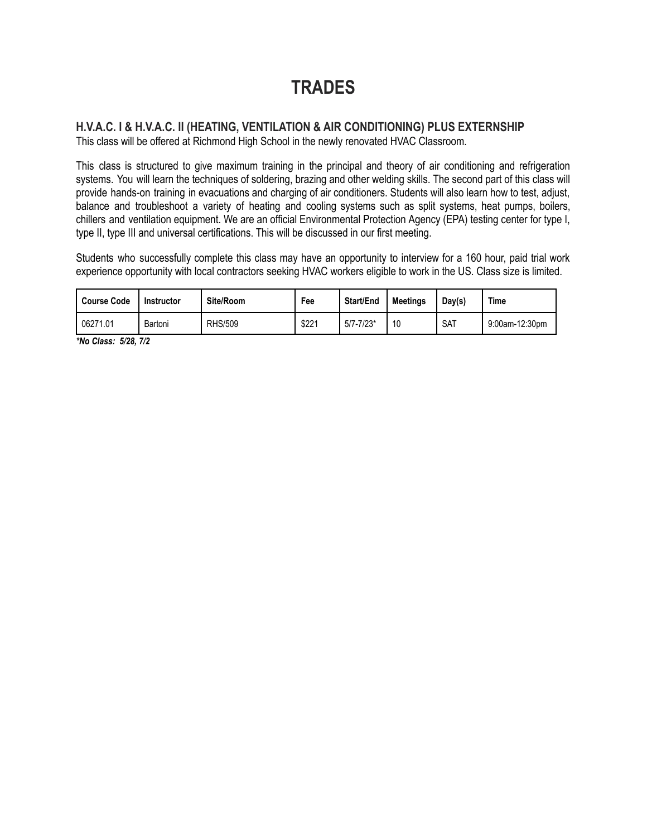### **TRADES**

#### **H.V.A.C. I & H.V.A.C. II (HEATING, VENTILATION & AIR CONDITIONING) PLUS EXTERNSHIP** This class will be offered at Richmond High School in the newly renovated HVAC Classroom.

This class is structured to give maximum training in the principal and theory of air conditioning and refrigeration systems. You will learn the techniques of soldering, brazing and other welding skills. The second part of this class will provide hands-on training in evacuations and charging of air conditioners. Students will also learn how to test, adjust, balance and troubleshoot a variety of heating and cooling systems such as split systems, heat pumps, boilers, chillers and ventilation equipment. We are an official Environmental Protection Agency (EPA) testing center for type I, type II, type III and universal certifications. This will be discussed in our first meeting.

Students who successfully complete this class may have an opportunity to interview for a 160 hour, paid trial work experience opportunity with local contractors seeking HVAC workers eligible to work in the US. Class size is limited.

| <b>Course Code</b> | Instructor | Site/Room      | Fee   | <b>Start/End</b> | <b>Meetings</b> | Day(s)     | <b>Time</b>    |
|--------------------|------------|----------------|-------|------------------|-----------------|------------|----------------|
| 06271.01           | Bartoni    | <b>RHS/509</b> | \$221 | $5/7 - 7/23*$    | 10              | <b>SAT</b> | 9:00am-12:30pm |

*\*No Class: 5/28, 7/2*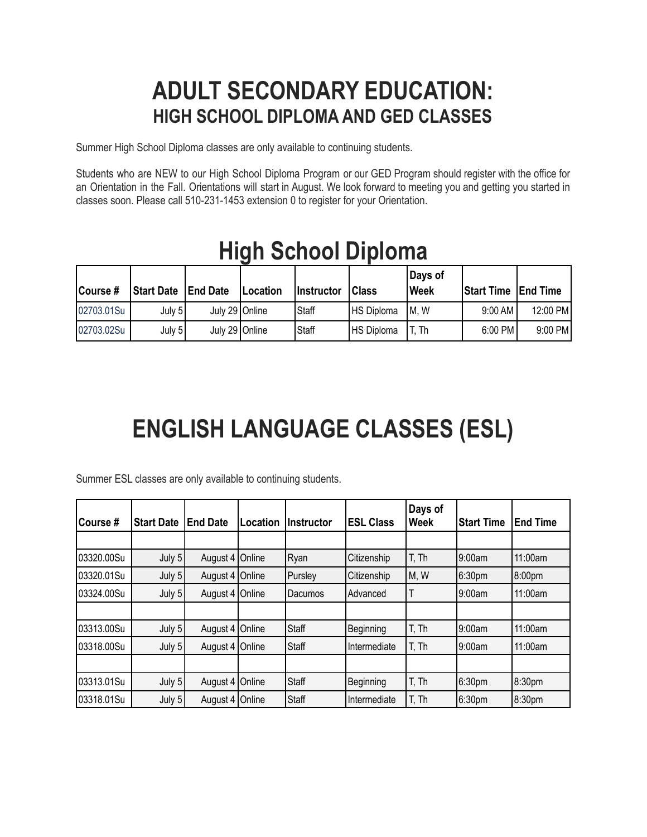## **ADULT SECONDARY EDUCATION: HIGH SCHOOL DIPLOMA AND GED CLASSES**

Summer High School Diploma classes are only available to continuing students.

Students who are NEW to our High School Diploma Program or our GED Program should register with the office for an Orientation in the Fall. Orientations will start in August. We look forward to meeting you and getting you started in classes soon. Please call 510-231-1453 extension 0 to register for your Orientation.

| Course#    | <b>Start Date   End Date</b> |                  | <b>Location</b> | <b>Instructor</b> | <b>Class</b>      | Days of<br><b>Week</b> | <b>Start Time End Time</b> |           |
|------------|------------------------------|------------------|-----------------|-------------------|-------------------|------------------------|----------------------------|-----------|
| 02703.01Su | July $51$                    | July 29   Online |                 | <b>Staff</b>      | HS Diploma        | IM.W                   | $9:00$ AM                  | 12:00 PM  |
| 02703.02Su | July $51$                    | July 29 Online   |                 | IStaff            | <b>HS Diploma</b> | T. Th                  | 6:00 PM                    | $9:00$ PM |

## **High School Diploma**

## **ENGLISH LANGUAGE CLASSES (ESL)**

Summer ESL classes are only available to continuing students.

| lCourse #  | <b>Start Date</b> | <b>End Date</b>   | Location | IInstructor | <b>ESL Class</b> | Days of<br><b>Week</b> | <b>Start Time</b> | <b>End Time</b> |
|------------|-------------------|-------------------|----------|-------------|------------------|------------------------|-------------------|-----------------|
|            |                   |                   |          |             |                  |                        |                   |                 |
| 03320.00Su | July 5            | August 4   Online |          | Ryan        | Citizenship      | T, Th                  | 9:00am            | 11:00am         |
| 03320.01Su | July 5            | August 4 Online   |          | Pursley     | Citizenship      | M, W                   | 6:30pm            | 8:00pm          |
| 03324.00Su | July 5            | August 4   Online |          | Dacumos     | Advanced         | Т                      | 9:00am            | 11:00am         |
|            |                   |                   |          |             |                  |                        |                   |                 |
| 03313.00Su | July 5            | August 4 Online   |          | Staff       | Beginning        | T, Th                  | 9:00am            | 11:00am         |
| 03318.00Su | July 5            | August 4   Online |          | Staff       | Intermediate     | T, Th                  | 9:00am            | 11:00am         |
|            |                   |                   |          |             |                  |                        |                   |                 |
| 03313.01Su | July 5            | August 4 Online   |          | Staff       | Beginning        | T, Th                  | 6:30pm            | 8:30pm          |
| 03318.01Su | July 5            | August 4   Online |          | Staff       | Intermediate     | T. Th                  | 6:30pm            | 8:30pm          |